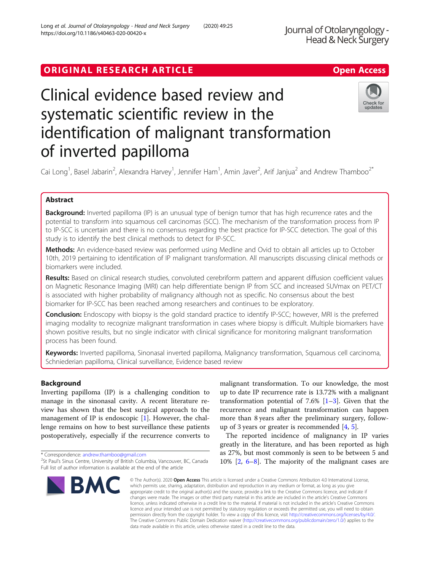## ORIGINAL RESEARCH ARTICLE **Solution Contract Contract Contract Contract Contract Contract Contract Contract Contract Contract Contract Contract Contract Contract Contract Contract Contract Contract Contract Contract Contra**

# Clinical evidence based review and systematic scientific review in the identification of malignant transformation of inverted papilloma



Cai Long<sup>1</sup>, Basel Jabarin<sup>2</sup>, Alexandra Harvey<sup>1</sup>, Jennifer Ham<sup>1</sup>, Amin Javer<sup>2</sup>, Arif Janjua<sup>2</sup> and Andrew Thamboo<sup>2\*</sup>

### Abstract

**Background:** Inverted papilloma (IP) is an unusual type of benign tumor that has high recurrence rates and the potential to transform into squamous cell carcinomas (SCC). The mechanism of the transformation process from IP to IP-SCC is uncertain and there is no consensus regarding the best practice for IP-SCC detection. The goal of this study is to identify the best clinical methods to detect for IP-SCC.

Methods: An evidence-based review was performed using Medline and Ovid to obtain all articles up to October 10th, 2019 pertaining to identification of IP malignant transformation. All manuscripts discussing clinical methods or biomarkers were included.

Results: Based on clinical research studies, convoluted cerebriform pattern and apparent diffusion coefficient values on Magnetic Resonance Imaging (MRI) can help differentiate benign IP from SCC and increased SUVmax on PET/CT is associated with higher probability of malignancy although not as specific. No consensus about the best biomarker for IP-SCC has been reached among researchers and continues to be exploratory.

Conclusion: Endoscopy with biopsy is the gold standard practice to identify IP-SCC; however, MRI is the preferred imaging modality to recognize malignant transformation in cases where biopsy is difficult. Multiple biomarkers have shown positive results, but no single indicator with clinical significance for monitoring malignant transformation process has been found.

Keywords: Inverted papilloma, Sinonasal inverted papilloma, Malignancy transformation, Squamous cell carcinoma, Schniederian papilloma, Clinical surveillance, Evidence based review

#### Background

Inverting papilloma (IP) is a challenging condition to manage in the sinonasal cavity. A recent literature review has shown that the best surgical approach to the management of IP is endoscopic [\[1](#page-8-0)]. However, the challenge remains on how to best surveillance these patients postoperatively, especially if the recurrence converts to

<sup>&</sup>lt;sup>2</sup>St Paul's Sinus Centre, University of British Columbia, Vancouver, BC, Canada Full list of author information is available at the end of the article



malignant transformation. To our knowledge, the most up to date IP recurrence rate is 13.72% with a malignant transformation potential of 7.6%  $[1-3]$  $[1-3]$  $[1-3]$  $[1-3]$ . Given that the recurrence and malignant transformation can happen more than 8 years after the preliminary surgery, followup of 3 years or greater is recommended [[4,](#page-8-0) [5\]](#page-8-0).

The reported incidence of malignancy in IP varies greatly in the literature, and has been reported as high as 27%, but most commonly is seen to be between 5 and 10% [\[2,](#page-8-0) [6](#page-8-0)–[8](#page-8-0)]. The majority of the malignant cases are

© The Author(s), 2020 **Open Access** This article is licensed under a Creative Commons Attribution 4.0 International License, which permits use, sharing, adaptation, distribution and reproduction in any medium or format, as long as you give appropriate credit to the original author(s) and the source, provide a link to the Creative Commons licence, and indicate if changes were made. The images or other third party material in this article are included in the article's Creative Commons licence, unless indicated otherwise in a credit line to the material. If material is not included in the article's Creative Commons licence and your intended use is not permitted by statutory regulation or exceeds the permitted use, you will need to obtain permission directly from the copyright holder. To view a copy of this licence, visit [http://creativecommons.org/licenses/by/4.0/.](http://creativecommons.org/licenses/by/4.0/) The Creative Commons Public Domain Dedication waiver [\(http://creativecommons.org/publicdomain/zero/1.0/](http://creativecommons.org/publicdomain/zero/1.0/)) applies to the data made available in this article, unless otherwise stated in a credit line to the data.

<sup>\*</sup> Correspondence: [andrew.thamboo@gmail.com](mailto:andrew.thamboo@gmail.com) <sup>2</sup>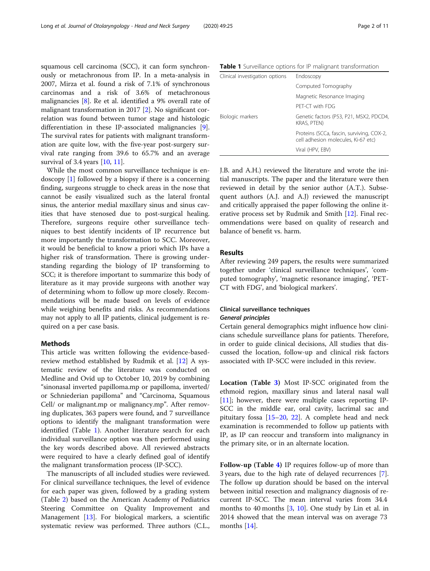squamous cell carcinoma (SCC), it can form synchronously or metachronous from IP. In a meta-analysis in 2007, Mirza et al. found a risk of 7.1% of synchronous carcinomas and a risk of 3.6% of metachronous malignancies [\[8](#page-8-0)]. Re et al. identified a 9% overall rate of malignant transformation in 2017 [[2\]](#page-8-0). No significant correlation was found between tumor stage and histologic differentiation in these IP-associated malignancies [\[9](#page-9-0)]. The survival rates for patients with malignant transformation are quite low, with the five-year post-surgery survival rate ranging from 39.6 to 65.7% and an average survival of 3.4 years [[10](#page-9-0), [11](#page-9-0)].

While the most common surveillance technique is endoscopy [\[1](#page-8-0)] followed by a biopsy if there is a concerning finding, surgeons struggle to check areas in the nose that cannot be easily visualized such as the lateral frontal sinus, the anterior medial maxillary sinus and sinus cavities that have stenosed due to post-surgical healing. Therefore, surgeons require other surveillance techniques to best identify incidents of IP recurrence but more importantly the transformation to SCC. Moreover, it would be beneficial to know a priori which IPs have a higher risk of transformation. There is growing understanding regarding the biology of IP transforming to SCC; it is therefore important to summarize this body of literature as it may provide surgeons with another way of determining whom to follow up more closely. Recommendations will be made based on levels of evidence while weighing benefits and risks. As recommendations may not apply to all IP patients, clinical judgement is required on a per case basis.

#### Methods

This article was written following the evidence-basedreview method established by Rudmik et al. [\[12](#page-9-0)] A systematic review of the literature was conducted on Medline and Ovid up to October 10, 2019 by combining "sinonasal inverted papilloma.mp or papilloma, inverted/ or Schniederian papilloma" and "Carcinoma, Squamous Cell/ or malignant.mp or malignancy.mp". After removing duplicates, 363 papers were found, and 7 surveillance options to identify the malignant transformation were identified (Table 1). Another literature search for each individual surveillance option was then performed using the key words described above. All reviewed abstracts were required to have a clearly defined goal of identify the malignant transformation process (IP-SCC).

The manuscripts of all included studies were reviewed. For clinical surveillance techniques, the level of evidence for each paper was given, followed by a grading system (Table [2](#page-2-0)) based on the American Academy of Pediatrics Steering Committee on Quality Improvement and Management [[13\]](#page-9-0). For biological markers, a scientific systematic review was performed. Three authors (C.L.,

Table 1 Surveillance options for IP malignant transformation

| Clinical investigation options | Endoscopy                                                                        |
|--------------------------------|----------------------------------------------------------------------------------|
|                                | Computed Tomography                                                              |
|                                | Magnetic Resonance Imaging                                                       |
|                                | PFT-CT with FDG                                                                  |
| Biologic markers               | Genetic factors (P53, P21, MSX2, PDCD4,<br><b>KRAS, PTEN)</b>                    |
|                                | Proteins (SCCa, fascin, surviving, COX-2,<br>cell adhesion molecules, Ki-67 etc) |
|                                | Viral (HPV, EBV)                                                                 |

J.B. and A.H.) reviewed the literature and wrote the initial manuscripts. The paper and the literature were then reviewed in detail by the senior author (A.T.). Subsequent authors (A.J. and A.J) reviewed the manuscript and critically appraised the paper following the online iterative process set by Rudmik and Smith [[12\]](#page-9-0). Final recommendations were based on quality of research and balance of benefit vs. harm.

#### Results

After reviewing 249 papers, the results were summarized together under 'clinical surveillance techniques', 'computed tomography', 'magnetic resonance imaging', 'PET-CT with FDG', and 'biological markers'.

#### Clinical surveillance techniques General principles

Certain general demographics might influence how clinicians schedule surveillance plans for patients. Therefore, in order to guide clinical decisions, All studies that discussed the location, follow-up and clinical risk factors associated with IP-SCC were included in this review.

Location (Table [3](#page-2-0)) Most IP-SCC originated from the ethmoid region, maxillary sinus and lateral nasal wall [[11\]](#page-9-0); however, there were multiple cases reporting IP-SCC in the middle ear, oral cavity, lacrimal sac and pituitary fossa [\[15](#page-9-0)–[20,](#page-9-0) [22](#page-9-0)]. A complete head and neck examination is recommended to follow up patients with IP, as IP can reoccur and transform into malignancy in the primary site, or in an alternate location.

Follow-up (Table [4\)](#page-3-0) IP requires follow-up of more than 3 years, due to the high rate of delayed recurrences [\[7](#page-8-0)]. The follow up duration should be based on the interval between initial resection and malignancy diagnosis of recurrent IP-SCC. The mean interval varies from 34.4 months to 40 months [[3,](#page-8-0) [10](#page-9-0)]. One study by Lin et al. in 2014 showed that the mean interval was on average 73 months [[14\]](#page-9-0).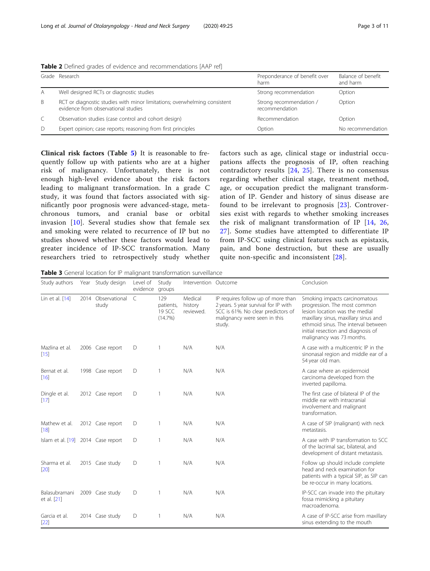|   | Grade Research                                                                                                   | Preponderance of benefit over<br>harm     | Balance of benefit<br>and harm |
|---|------------------------------------------------------------------------------------------------------------------|-------------------------------------------|--------------------------------|
| A | Well designed RCTs or diagnostic studies                                                                         | Strong recommendation                     | Option                         |
| B | RCT or diagnostic studies with minor limitations; overwhelming consistent<br>evidence from observational studies | Strong recommendation /<br>recommendation | Option                         |
|   | Observation studies (case control and cohort design)                                                             | Recommendation                            | Option                         |
| D | Expert opinion; case reports; reasoning from first principles                                                    | Option                                    | No recommendation              |

<span id="page-2-0"></span>Table 2 Defined grades of evidence and recommendations [AAP ref]

Clinical risk factors (Table [5](#page-3-0)) It is reasonable to frequently follow up with patients who are at a higher risk of malignancy. Unfortunately, there is not enough high-level evidence about the risk factors leading to malignant transformation. In a grade C study, it was found that factors associated with significantly poor prognosis were advanced-stage, metachronous tumors, and cranial base or orbital invasion [[10](#page-9-0)]. Several studies show that female sex and smoking were related to recurrence of IP but no studies showed whether these factors would lead to greater incidence of IP-SCC transformation. Many researchers tried to retrospectively study whether factors such as age, clinical stage or industrial occupations affects the prognosis of IP, often reaching contradictory results [[24](#page-9-0), [25](#page-9-0)]. There is no consensus regarding whether clinical stage, treatment method, age, or occupation predict the malignant transformation of IP. Gender and history of sinus disease are found to be irrelevant to prognosis [[23](#page-9-0)]. Controversies exist with regards to whether smoking increases the risk of malignant transformation of IP [[14](#page-9-0), [26](#page-9-0), [27\]](#page-9-0). Some studies have attempted to differentiate IP from IP-SCC using clinical features such as epistaxis, pain, and bone destruction, but these are usually quite non-specific and inconsistent [\[28\]](#page-9-0).

Table 3 General location for IP malignant transformation surveillance

| Study authors                      | Year | Study design           | Level of<br>evidence | Study<br>groups                       | Intervention Outcome            |                                                                                                                                                            | Conclusion                                                                                                                                                                                                                                        |
|------------------------------------|------|------------------------|----------------------|---------------------------------------|---------------------------------|------------------------------------------------------------------------------------------------------------------------------------------------------------|---------------------------------------------------------------------------------------------------------------------------------------------------------------------------------------------------------------------------------------------------|
| Lin et al. [14]                    | 2014 | Observational<br>study | $\mathcal{C}$        | 129<br>patients,<br>19 SCC<br>(14.7%) | Medical<br>history<br>reviewed. | IP requires follow up of more than<br>2 years. 5 year survival for IP with<br>SCC is 61%. No clear predictors of<br>malignancy were seen in this<br>study. | Smoking impacts carcinomatous<br>progression. The most common<br>lesion location was the medial<br>maxillary sinus, maxillary sinus and<br>ethmoid sinus. The interval between<br>initial resection and diagnosis of<br>malignancy was 73 months. |
| Mazlina et al.<br>$[15]$           |      | 2006 Case report       | D                    |                                       | N/A                             | N/A                                                                                                                                                        | A case with a multicentric IP in the<br>sinonasal region and middle ear of a<br>54 year old man.                                                                                                                                                  |
| Bernat et al.<br>$[16]$            |      | 1998 Case report       | D                    | 1                                     | N/A                             | N/A                                                                                                                                                        | A case where an epidermoid<br>carcinoma developed from the<br>inverted papilloma.                                                                                                                                                                 |
| Dingle et al.<br>[17]              |      | 2012 Case report       | D                    | 1                                     | N/A                             | N/A                                                                                                                                                        | The first case of bilateral IP of the<br>middle ear with intracranial<br>involvement and malignant<br>transformation.                                                                                                                             |
| Mathew et al.<br>[18]              |      | 2012 Case report       | D                    |                                       | N/A                             | N/A                                                                                                                                                        | A case of SIP (malignant) with neck<br>metastasis.                                                                                                                                                                                                |
| Islam et al. [19] 2014 Case report |      |                        | D                    | 1                                     | N/A                             | N/A                                                                                                                                                        | A case with IP transformation to SCC<br>of the lacrimal sac, bilateral, and<br>development of distant metastasis.                                                                                                                                 |
| Sharma et al.<br>$[20]$            |      | 2015 Case study        | D                    |                                       | N/A                             | N/A                                                                                                                                                        | Follow up should include complete<br>head and neck examination for<br>patients with a typical SIP, as SIP can<br>be re-occur in many locations.                                                                                                   |
| Balasubramani<br>et al. [21]       |      | 2009 Case study        | D                    | 1                                     | N/A                             | N/A                                                                                                                                                        | IP-SCC can invade into the pituitary<br>fossa mimicking a pituitary<br>macroadenoma.                                                                                                                                                              |
| Garcia et al.<br>$[22]$            |      | 2014 Case study        | D                    |                                       | N/A                             | N/A                                                                                                                                                        | A case of IP-SCC arise from maxillary<br>sinus extending to the mouth                                                                                                                                                                             |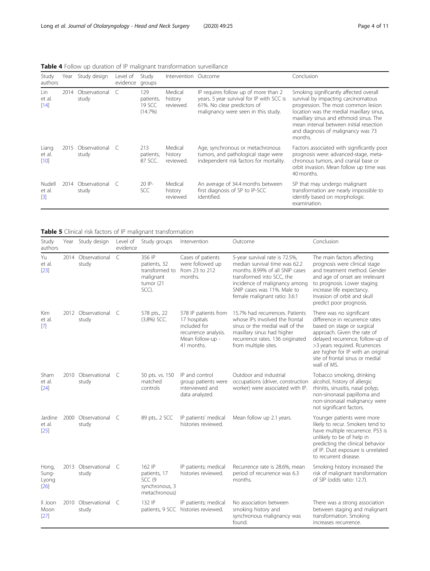<span id="page-3-0"></span>Table 4 Follow up duration of IP malignant transformation surveillance

| Study<br>authors          | Year | Study design           | Level of<br>evidence | Study<br>groups                       | Intervention Outcome            |                                                                                                                                                         | Conclusion                                                                                                                                                                                                                                                                                             |
|---------------------------|------|------------------------|----------------------|---------------------------------------|---------------------------------|---------------------------------------------------------------------------------------------------------------------------------------------------------|--------------------------------------------------------------------------------------------------------------------------------------------------------------------------------------------------------------------------------------------------------------------------------------------------------|
| l in<br>et al.<br>$[14]$  | 2014 | Observational<br>study |                      | 129<br>patients,<br>19 SCC<br>(14.7%) | Medical<br>history<br>reviewed. | IP requires follow up of more than 2<br>years. 5 year survival for IP with SCC is<br>61%. No clear predictors of<br>malignancy were seen in this study. | Smoking significantly affected overall<br>survival by impacting carcinomatous<br>progression. The most common lesion<br>location was the medial maxillary sinus,<br>maxillary sinus and ethmoid sinus. The<br>mean interval between initial resection<br>and diagnosis of malignancy was 73<br>months. |
| Liang<br>et al.<br>$[10]$ | 2015 | Observational<br>study | - C                  | 213<br>patients,<br>87 SCC.           | Medical<br>history<br>reviewed. | Age, synchronous or metachronous<br>tumors, and pathological stage were<br>independent risk factors for mortality.                                      | Factors associated with significantly poor<br>prognosis were: advanced-stage, meta-<br>chronous tumors, and cranial base or<br>orbit invasion. Mean follow up time was<br>40 months.                                                                                                                   |
| Nudell<br>et al.<br>$[3]$ | 2014 | Observational<br>study | - C                  | $20$ IP-<br>SCC                       | Medical<br>history<br>reviewed  | An average of 34.4 months between<br>first diagnosis of SP to IP-SCC<br>identified.                                                                     | SP that may undergo malignant<br>transformation are nearly impossible to<br>identify based on morphologic<br>examination.                                                                                                                                                                              |

| Table 5 Clinical risk factors of IP malignant transformation |
|--------------------------------------------------------------|
|--------------------------------------------------------------|

| Study<br>authors                |      | Year Study design             | Level of<br>evidence | Study groups                                                                   | Intervention                                                                                                   | Outcome                                                                                                                                                                                                                          | Conclusion                                                                                                                                                                                                                                                                           |
|---------------------------------|------|-------------------------------|----------------------|--------------------------------------------------------------------------------|----------------------------------------------------------------------------------------------------------------|----------------------------------------------------------------------------------------------------------------------------------------------------------------------------------------------------------------------------------|--------------------------------------------------------------------------------------------------------------------------------------------------------------------------------------------------------------------------------------------------------------------------------------|
| Yu<br>et al.<br>$[23]$          |      | 2014 Observational<br>study   | $\subset$            | 356 IP<br>patients, 32<br>transformed to<br>malignant<br>tumor (21<br>SCC).    | Cases of patients<br>were followed up<br>from 23 to 212<br>months.                                             | 5-year survival rate is 72.5%,<br>median survival time was 62.2<br>months, 8,99% of all SNIP cases<br>transformed into SCC, the<br>incidence of malignancy among<br>SNIP cases was 11%. Male to<br>female malignant ratio: 3.6:1 | The main factors affecting<br>prognosis were clinical stage<br>and treatment method. Gender<br>and age of onset are irrelevant<br>to prognosis. Lower staging<br>increase life expectancy.<br>Invasion of orbit and skull<br>predict poor prognosis.                                 |
| Kim<br>et al.<br>$\sqrt{7}$     |      | 2012 Observational C<br>study |                      | 578 pts., 22<br>$(3.8\%)$ SCC.                                                 | 578 IP patients from<br>17 hospitals<br>included for<br>recurrence analysis.<br>Mean follow-up -<br>41 months. | 15.7% had recurrences. Patients<br>whose IPs involved the frontal<br>sinus or the medial wall of the<br>maxillary sinus had higher<br>recurrence rates. 136 originated<br>from multiple sites.                                   | There was no significant<br>difference in recurrence rates<br>based on stage or surgical<br>approach. Given the rate of<br>delayed recurrence, follow-up of<br>>3 years required. Rcurrences<br>are higher for IP with an original<br>site of frontal sinus or medial<br>wall of MS. |
| Sham<br>et al.<br>[24]          |      | 2010 Observational C<br>study |                      | 50 pts. vs. 150<br>matched<br>controls                                         | IP and control<br>group patients were<br>interviewed and<br>data analyzed.                                     | Outdoor and industrial<br>occupations (driver, construction<br>worker) were associated with IP.                                                                                                                                  | Tobacco smoking, drinking<br>alcohol, history of allergic<br>rhinitis, sinusitis, nasal polyp,<br>non-sinonasal papilloma and<br>non-sinonasal malignancy were<br>not significant factors.                                                                                           |
| Jardine<br>et al.<br>$[25]$     | 2000 | Observational C<br>study      |                      | 89 pts., 2 SCC                                                                 | IP patients' medical<br>histories reviewed.                                                                    | Mean follow up 2.1 years.                                                                                                                                                                                                        | Younger patients were more<br>likely to recur. Smokers tend to<br>have multiple recurrence. P53 is<br>unlikely to be of help in<br>predicting the clinical behavior<br>of IP. Dust exposure is unrelated<br>to recurrent disease.                                                    |
| Hong,<br>Sung-<br>Lyong<br>[26] |      | 2013 Observational C<br>study |                      | 162 IP<br>patients, 17<br>SCC <sub>(9</sub><br>synchronous, 3<br>metachronous) | IP patients; medical<br>histories reviewed.                                                                    | Recurrence rate is 28.6%, mean<br>period of recurrence was 6.3<br>months.                                                                                                                                                        | Smoking history increased the<br>risk of malignant transformation<br>of SIP (odds ratio: 12.7).                                                                                                                                                                                      |
| Il Joon<br>Moon<br>[27]         | 2010 | Observational<br>study        | C                    | 132 IP                                                                         | IP patients; medical<br>patients, 9 SCC histories reviewed.                                                    | No association between<br>smoking history and<br>synchronous malignancy was<br>found.                                                                                                                                            | There was a strong association<br>between staging and malignant<br>transformation. Smoking<br>increases recurrence.                                                                                                                                                                  |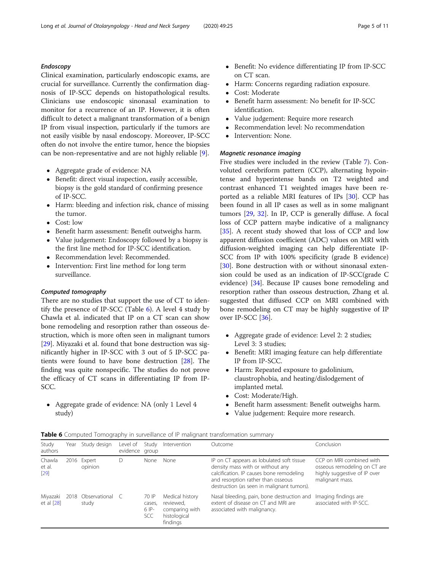#### Endoscopy

Clinical examination, particularly endoscopic exams, are crucial for surveillance. Currently the confirmation diagnosis of IP-SCC depends on histopathological results. Clinicians use endoscopic sinonasal examination to monitor for a recurrence of an IP. However, it is often difficult to detect a malignant transformation of a benign IP from visual inspection, particularly if the tumors are not easily visible by nasal endoscopy. Moreover, IP-SCC often do not involve the entire tumor, hence the biopsies can be non-representative and are not highly reliable [\[9](#page-9-0)].

- Aggregate grade of evidence: NA
- Benefit: direct visual inspection, easily accessible, biopsy is the gold standard of confirming presence of IP-SCC.
- Harm: bleeding and infection risk, chance of missing the tumor.
- Cost: low
- Benefit harm assessment: Benefit outweighs harm.
- Value judgement: Endoscopy followed by a biopsy is the first line method for IP-SCC identification.
- Recommendation level: Recommended.
- Intervention: First line method for long term surveillance.

#### Computed tomography

There are no studies that support the use of CT to identify the presence of IP-SCC (Table  $6$ ). A level 4 study by Chawla et al. indicated that IP on a CT scan can show bone remodeling and resorption rather than osseous destruction, which is more often seen in malignant tumors [[29\]](#page-9-0). Miyazaki et al. found that bone destruction was significantly higher in IP-SCC with 3 out of 5 IP-SCC patients were found to have bone destruction [\[28\]](#page-9-0). The finding was quite nonspecific. The studies do not prove the efficacy of CT scans in differentiating IP from IP-SCC.

 Aggregate grade of evidence: NA (only 1 Level 4 study)

- Benefit: No evidence differentiating IP from IP-SCC on CT scan.
- Harm: Concerns regarding radiation exposure.<br>• Cost: Moderate
- Cost: Moderate
- Benefit harm assessment: No benefit for IP-SCC identification.
- Value judgement: Require more research
- Recommendation level: No recommendation<br>• Intervention: None
- Intervention: None.

#### Magnetic resonance imaging

Five studies were included in the review (Table [7](#page-5-0)). Convoluted cerebriform pattern (CCP), alternating hypointense and hyperintense bands on T2 weighted and contrast enhanced T1 weighted images have been reported as a reliable MRI features of IPs [\[30](#page-9-0)]. CCP has been found in all IP cases as well as in some malignant tumors [[29,](#page-9-0) [32](#page-9-0)]. In IP, CCP is generally diffuse. A focal loss of CCP pattern maybe indicative of a malignancy [[35\]](#page-9-0). A recent study showed that loss of CCP and low apparent diffusion coefficient (ADC) values on MRI with diffusion-weighted imaging can help differentiate IP-SCC from IP with 100% specificity (grade B evidence) [[30\]](#page-9-0). Bone destruction with or without sinonasal extension could be used as an indication of IP-SCC(grade C evidence) [\[34](#page-9-0)]. Because IP causes bone remodeling and resorption rather than osseous destruction, Zhang et al. suggested that diffused CCP on MRI combined with bone remodeling on CT may be highly suggestive of IP over IP-SCC [\[36\]](#page-9-0).

- Aggregate grade of evidence: Level 2: 2 studies; Level 3: 3 studies;
- Benefit: MRI imaging feature can help differentiate IP from IP-SCC.
- Harm: Repeated exposure to gadolinium, claustrophobia, and heating/dislodgement of implanted metal.
- Cost: Moderate/High.
- Benefit harm assessment: Benefit outweighs harm.
- Value judgement: Require more research.

|  |  |  | Table 6 Computed Tomography in surveillance of IP malignant transformation summary |  |
|--|--|--|------------------------------------------------------------------------------------|--|
|--|--|--|------------------------------------------------------------------------------------|--|

| Study<br>authors           | Year | Study design                | Level of<br>evidence group | Study                             | Intervention                                                               | Outcome                                                                                                                                                                                                       | Conclusion                                                                                                  |
|----------------------------|------|-----------------------------|----------------------------|-----------------------------------|----------------------------------------------------------------------------|---------------------------------------------------------------------------------------------------------------------------------------------------------------------------------------------------------------|-------------------------------------------------------------------------------------------------------------|
| Chawla<br>et al.<br>$[29]$ |      | 2016 Expert<br>opinion      |                            | None                              | None                                                                       | IP on CT appears as lobulated soft tissue<br>density mass with or without any<br>calcification. IP causes bone remodeling<br>and resorption rather than osseous<br>destruction (as seen in malignant tumors). | CCP on MRI combined with<br>osseous remodeling on CT are<br>highly suggestive of IP over<br>malignant mass. |
| Miyazaki<br>et al $[28]$   |      | 2018 Observational<br>study |                            | 70 IP<br>cases,<br>$6$ IP-<br>SCC | Medical history<br>reviewed,<br>comparing with<br>histological<br>findings | Nasal bleeding, pain, bone destruction and<br>extent of disease on CT and MRI are<br>associated with malignancy.                                                                                              | Imaging findings are<br>associated with IP-SCC.                                                             |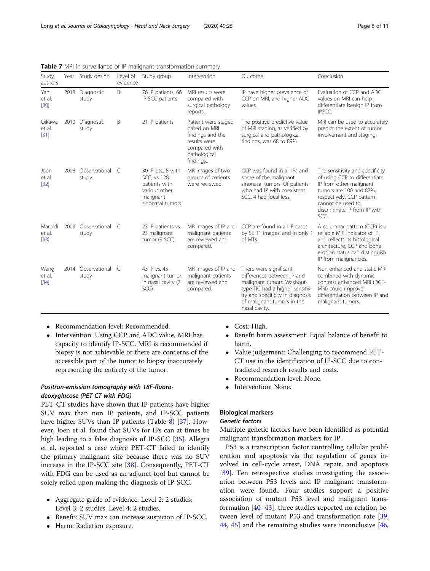| Study<br>authors            |      | Year Study design             | Level of<br>evidence | Study group                                                                                                 | Intervention                                                                                                         | Outcome                                                                                                                                                                                                  | Conclusion                                                                                                                                                                                                       |
|-----------------------------|------|-------------------------------|----------------------|-------------------------------------------------------------------------------------------------------------|----------------------------------------------------------------------------------------------------------------------|----------------------------------------------------------------------------------------------------------------------------------------------------------------------------------------------------------|------------------------------------------------------------------------------------------------------------------------------------------------------------------------------------------------------------------|
| Yan<br>et al.<br>$[30]$     |      | 2018 Diagnostic<br>study      | B                    | 76 IP patients, 66<br>IP-SCC patients                                                                       | MRI results were<br>compared with<br>surgical pathology<br>reports.                                                  | IP have higher prevalence of<br>CCP on MRI, and higher ADC<br>values.                                                                                                                                    | Evaluation of CCP and ADC<br>values on MRI can help<br>differentiate benign IP from<br>IPSCC.                                                                                                                    |
| Oikawa<br>et al.<br>$[31]$  | 2010 | Diagnostic<br>study           | Β                    | 21 IP patients                                                                                              | Patient were staged<br>based on MRI<br>findings and the<br>results were<br>compared with<br>pathological<br>findings | The positive predictive value<br>of MRI staging, as verified by<br>surgical and pathological<br>findings, was 68 to 89%.                                                                                 | MRI can be used to accurately<br>predict the extent of tumor<br>involvement and staging.                                                                                                                         |
| Jeon<br>et al.<br>$[32]$    |      | 2008 Observational C<br>study |                      | 30 IP pts., 8 with<br><b>SCC, vs 128</b><br>patients with<br>various other<br>malignant<br>sinonasal tumors | MR images of two<br>groups of patients<br>were reviewed.                                                             | CCP was found in all IPs and<br>some of the malignant<br>sinonasal tumors. Of patients<br>who had IP with coexistent<br>SCC, 4 had focal loss.                                                           | The sensitivity and specificity<br>of using CCP to differentiate<br>IP from other malignant<br>tumors are 100 and 87%,<br>respectively. CCP pattern<br>cannot be used to<br>discriminate IP from IP with<br>SCC. |
| Maroldi<br>et al.<br>$[33]$ |      | 2003 Observational C<br>study |                      | 23 IP patients vs.<br>23 malignant<br>tumor (9 SCC)                                                         | MR images of IP and<br>malignant patients<br>are reviewed and<br>compared.                                           | CCP are found in all IP cases<br>by SE T1 images, and in only 1<br>of MTs.                                                                                                                               | A columnar pattern (CCP) is a<br>reliable MRI indicator of IP,<br>and reflects its histological<br>architecture, CCP and bone<br>erosion status can distinguish<br>IP from malignancies.                         |
| Wang<br>et al.<br>$[34]$    |      | 2014 Observational C<br>study |                      | 43 IP vs. 45<br>malignant tumor<br>in nasal cavity (7<br>SCC)                                               | MR images of IP and<br>malignant patients<br>are reviewed and<br>compared.                                           | There were significant<br>differences between IP and<br>malignant tumors. Washout-<br>type TIC had a higher sensitiv-<br>ity and specificity in diagnosis<br>of malignant tumors in the<br>nasal cavity. | Non-enhanced and static MRI<br>combined with dynamic<br>contrast enhanced MRI (DCE-<br>MRI) could improve<br>differentiation between IP and<br>malignant tumors.                                                 |

<span id="page-5-0"></span>Table 7 MRI in surveillance of IP malignant transformation summary

- Recommendation level: Recommended.
- Intervention: Using CCP and ADC value, MRI has capacity to identify IP-SCC. MRI is recommended if biopsy is not achievable or there are concerns of the accessible part of the tumor to biopsy inaccurately representing the entirety of the tumor.

#### Positron-emission tomography with 18F-fluorodeoxyglucose (PET-CT with FDG)

PET-CT studies have shown that IP patients have higher SUV max than non IP patients, and IP-SCC patients have higher SUVs than IP patients (Table [8\)](#page-6-0) [[37\]](#page-9-0). However, Joen et al. found that SUVs for IPs can at times be high leading to a false diagnosis of IP-SCC [[35](#page-9-0)]. Allegra et al. reported a case where PET-CT failed to identify the primary malignant site because there was no SUV increase in the IP-SCC site [\[38\]](#page-9-0). Consequently, PET-CT with FDG can be used as an adjunct tool but cannot be solely relied upon making the diagnosis of IP-SCC.

- Aggregate grade of evidence: Level 2: 2 studies; Level 3: 2 studies; Level 4: 2 studies.
- Benefit: SUV max can increase suspicion of IP-SCC.
- Harm: Radiation exposure.
- Cost: High.<br>• Benefit hari
- Benefit harm assessment: Equal balance of benefit to harm.
- Value judgement: Challenging to recommend PET-CT use in the identification of IP-SCC due to contradicted research results and costs.
- Recommendation level: None.
- Intervention: None.

#### Biological markers

#### Genetic factors

Multiple genetic factors have been identified as potential malignant transformation markers for IP.

P53 is a transcription factor controlling cellular proliferation and apoptosis via the regulation of genes involved in cell-cycle arrest, DNA repair, and apoptosis [[39\]](#page-9-0). Ten retrospective studies investigating the association between P53 levels and IP malignant transformation were found,. Four studies support a positive association of mutant P53 level and malignant transformation [\[40](#page-9-0)–[43\]](#page-9-0), three studies reported no relation between level of mutant P53 and transformation rate [[39](#page-9-0), [44,](#page-9-0) [45\]](#page-9-0) and the remaining studies were inconclusive [[46](#page-9-0),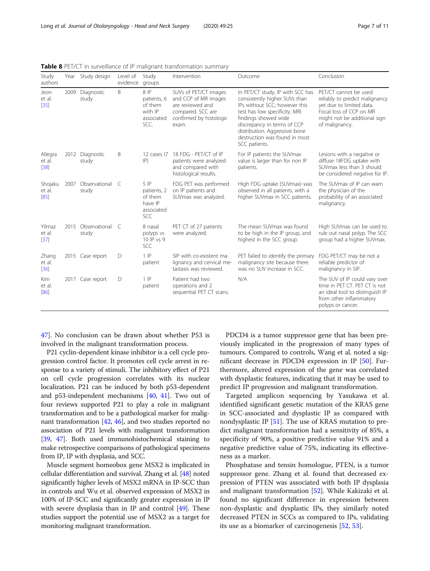| Study<br>authors             | Year | Study design           | Level of<br>evidence | Study<br>groups                                                  | Intervention                                                                                                               | Outcome                                                                                                                                                                                                                                                                       | Conclusion                                                                                                                                                       |
|------------------------------|------|------------------------|----------------------|------------------------------------------------------------------|----------------------------------------------------------------------------------------------------------------------------|-------------------------------------------------------------------------------------------------------------------------------------------------------------------------------------------------------------------------------------------------------------------------------|------------------------------------------------------------------------------------------------------------------------------------------------------------------|
| Jeon<br>et al.<br>$[35]$     | 2009 | Diagnostic<br>study    | B                    | 8 IP<br>patients, 6<br>of them<br>with IP<br>associated<br>SCC.  | SUVs of PET/CT images<br>and CCP of MR images<br>are reviewed and<br>compared. SCC are<br>confirmed by histologic<br>exam. | In PET/CT study, IP with SCC has<br>consistently higher SUVs than<br>IPs without SCC; however this<br>test has low specificity. MRI<br>findings showed wide<br>discrepancy in terms of CCP<br>distribution. Aggressive bone<br>destruction was found in most<br>SCC patients. | PET/CT cannot be used<br>reliably to predict malignancy<br>yet due to limited data.<br>Focal loss of CCP on MR<br>might not be additional sign<br>of malignancy. |
| Allegra<br>et al.<br>$[38]$  | 2012 | Diagnostic<br>study    | Β                    | 12 cases (7<br> P)                                               | 18 FDG - PET/CT of IP<br>patients were analyzed<br>and compared with<br>histological results.                              | For IP patients the SUVmax<br>value is larger than for non IP<br>patients.                                                                                                                                                                                                    | Lesions with a negative or<br>diffuse 18FDG uptake with<br>SUVmax less than 3 should<br>be considered negative for IP.                                           |
| Shojaku<br>et al.<br>[85]    | 2007 | Observational<br>study | $\subset$            | $5$ IP<br>patients, 2<br>of them<br>have IP<br>associated<br>SCC | FDG PET was performed<br>on IP patients and<br>SUVmax was analyzed.                                                        | High FDG uptake (SUVmax) was<br>observed in all patients, with a<br>higher SUVmax in SCC patients.                                                                                                                                                                            | The SUV max of IP can warn<br>the physician of the<br>probability of an associated<br>malignancy.                                                                |
| Yilmaz<br>et al.<br>$[37]$   | 2015 | Observational<br>study | C                    | 8 nasal<br>polyps vs<br>10 IP vs 9<br><b>SCC</b>                 | PET CT of 27 patients<br>were analyzed.                                                                                    | The mean SUVmax was found<br>to be high in the IP group, and<br>highest in the SCC group.                                                                                                                                                                                     | High SUVmax can be used to<br>rule out nasal polyp. The SCC<br>group had a higher SUVmax.                                                                        |
| Zhang<br>et al.<br>$[36]$    |      | 2015 Case report       | D                    | $1$ IP<br>patient                                                | SIP with co-existent ma-<br>lignancy and cervical me-<br>tastasis was reviewed.                                            | PET failed to identify the primary<br>malignancy site because there<br>was no SUV increase in SCC.                                                                                                                                                                            | FDG PET/CT may be not a<br>reliable predictor of<br>malignancy in SIP.                                                                                           |
| <b>Kim</b><br>et al.<br>[86] |      | 2017 Case report       | D                    | $1$ $IP$<br>patient                                              | Patient had two<br>operations and 2<br>sequential PET CT scans.                                                            | N/A                                                                                                                                                                                                                                                                           | The SUV of IP could vary over<br>time in PET CT. PET CT is not<br>an ideal tool to distinguish IP<br>from other inflammatory<br>polyps or cancer.                |

<span id="page-6-0"></span>Table 8 PET/CT in surveillance of IP malignant transformation summary

[47\]](#page-9-0). No conclusion can be drawn about whether P53 is involved in the malignant transformation process.

P21 cyclin-dependent kinase inhibitor is a cell cycle progression control factor. It promotes cell cycle arrest in response to a variety of stimuli. The inhibitory effect of P21 on cell cycle progression correlates with its nuclear localization. P21 can be induced by both p53-dependent and p53-independent mechanisms [\[40,](#page-9-0) [41](#page-9-0)]. Two out of four reviews supported P21 to play a role in malignant transformation and to be a pathological marker for malignant transformation [[42](#page-9-0), [46](#page-9-0)], and two studies reported no association of P21 levels with malignant transformation [[39](#page-9-0), [47](#page-9-0)]. Both used immunohistochemical staining to make retrospective comparisons of pathological specimens from IP, IP with dysplasia, and SCC.

Muscle segment homeobox gene MSX2 is implicated in cellular differentiation and survival. Zhang et al. [\[48\]](#page-9-0) noted significantly higher levels of MSX2 mRNA in IP-SCC than in controls and Wu et al. observed expression of MSX2 in 100% of IP-SCC and significantly greater expression in IP with severe dysplasia than in IP and control [[49](#page-9-0)]. These studies support the potential use of MSX2 as a target for monitoring malignant transformation.

PDCD4 is a tumor suppressor gene that has been previously implicated in the progression of many types of tumours. Compared to controls, Wang et al. noted a significant decrease in PDCD4 expression in IP [[50](#page-9-0)]. Furthermore, altered expression of the gene was correlated with dysplastic features, indicating that it may be used to predict IP progression and malignant transformation.

Targeted amplicon sequencing by Yasukawa et al. identified significant genetic mutation of the KRAS gene in SCC-associated and dysplastic IP as compared with nondysplastic IP [\[51\]](#page-9-0). The use of KRAS mutation to predict malignant transformation had a sensitivity of 85%, a specificity of 90%, a positive predictive value 91% and a negative predictive value of 75%, indicating its effectiveness as a marker.

Phosphatase and tensin homologue, PTEN, is a tumor suppressor gene. Zhang et al. found that decreased expression of PTEN was associated with both IP dysplasia and malignant transformation [\[52](#page-9-0)]. While Kakizaki et al. found no significant difference in expression between non-dysplastic and dysplastic IPs, they similarly noted decreased PTEN in SCCs as compared to IPs, validating its use as a biomarker of carcinogenesis [\[52,](#page-9-0) [53\]](#page-10-0).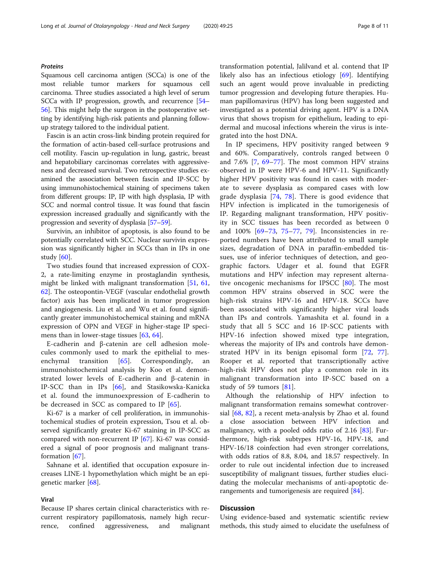#### **Proteins**

Squamous cell carcinoma antigen (SCCa) is one of the most reliable tumor markers for squamous cell carcinoma. Three studies associated a high level of serum SCCa with IP progression, growth, and recurrence [\[54](#page-10-0)– [56](#page-10-0)]. This might help the surgeon in the postoperative setting by identifying high-risk patients and planning followup strategy tailored to the individual patient.

Fascin is an actin cross-link binding protein required for the formation of actin-based cell-surface protrusions and cell motility. Fascin up-regulation in lung, gastric, breast and hepatobiliary carcinomas correlates with aggressiveness and decreased survival. Two retrospective studies examined the association between fascin and IP-SCC by using immunohistochemical staining of specimens taken from different groups: IP, IP with high dysplasia, IP with SCC and normal control tissue. It was found that fascin expression increased gradually and significantly with the progression and severity of dysplasia [[57](#page-10-0)–[59\]](#page-10-0).

Survivin, an inhibitor of apoptosis, is also found to be potentially correlated with SCC. Nuclear survivin expression was significantly higher in SCCs than in IPs in one study [[60\]](#page-10-0).

Two studies found that increased expression of COX-2, a rate-limiting enzyme in prostaglandin synthesis, might be linked with malignant transformation [[51](#page-9-0), [61](#page-10-0), [62\]](#page-10-0). The osteopontin-VEGF (vascular endothelial growth factor) axis has been implicated in tumor progression and angiogenesis. Liu et al. and Wu et al. found significantly greater immunohistochemical staining and mRNA expression of OPN and VEGF in higher-stage IP speci-mens than in lower-stage tissues [\[63,](#page-10-0) [64\]](#page-10-0).

E-cadherin and β-catenin are cell adhesion molecules commonly used to mark the epithelial to mes-enchymal transition [[65\]](#page-10-0). Correspondingly, an immunohistochemical analysis by Koo et al. demonstrated lower levels of E-cadherin and β-catenin in IP-SCC than in IPs [[66\]](#page-10-0), and Stasikowska-Kanicka et al. found the immunoexpression of E-cadherin to be decreased in SCC as compared to IP [[65\]](#page-10-0).

Ki-67 is a marker of cell proliferation, in immunohistochemical studies of protein expression, Tsou et al. observed significantly greater Ki-67 staining in IP-SCC as compared with non-recurrent IP  $[67]$  $[67]$ . Ki-67 was considered a signal of poor prognosis and malignant transformation [\[67](#page-10-0)].

Sahnane et al. identified that occupation exposure increases LINE-1 hypomethylation which might be an epigenetic marker [\[68\]](#page-10-0).

#### Viral

Because IP shares certain clinical characteristics with recurrent respiratory papillomatosis, namely high recurrence, confined aggressiveness, and malignant transformation potential, Jalilvand et al. contend that IP likely also has an infectious etiology [[69\]](#page-10-0). Identifying such an agent would prove invaluable in predicting tumor progression and developing future therapies. Human papillomavirus (HPV) has long been suggested and investigated as a potential driving agent. HPV is a DNA virus that shows tropism for epithelium, leading to epidermal and mucosal infections wherein the virus is integrated into the host DNA.

In IP specimens, HPV positivity ranged between 9 and 60%. Comparatively, controls ranged between 0 and 7.6% [\[7](#page-8-0), [69](#page-10-0)–[77](#page-10-0)]. The most common HPV strains observed in IP were HPV-6 and HPV-11. Significantly higher HPV positivity was found in cases with moderate to severe dysplasia as compared cases with low grade dysplasia [[74,](#page-10-0) [78\]](#page-10-0). There is good evidence that HPV infection is implicated in the tumorigenesis of IP. Regarding malignant transformation, HPV positivity in SCC tissues has been recorded as between 0 and 100% [\[69](#page-10-0)–[73](#page-10-0), [75](#page-10-0)–[77,](#page-10-0) [79\]](#page-10-0). Inconsistencies in reported numbers have been attributed to small sample sizes, degradation of DNA in paraffin-embedded tissues, use of inferior techniques of detection, and geographic factors. Udager et al. found that EGFR mutations and HPV infection may represent alternative oncogenic mechanisms for IPSCC [\[80](#page-10-0)]. The most common HPV strains observed in SCC were the high-risk strains HPV-16 and HPV-18. SCCs have been associated with significantly higher viral loads than IPs and controls. Yamashita et al. found in a study that all 5 SCC and 16 IP-SCC patients with HPV-16 infection showed mixed type integration, whereas the majority of IPs and controls have demonstrated HPV in its benign episomal form [[72,](#page-10-0) [77](#page-10-0)]. Rooper et al. reported that transcriptionally active high-risk HPV does not play a common role in its malignant transformation into IP-SCC based on a study of 59 tumors [[81\]](#page-10-0).

Although the relationship of HPV infection to malignant transformation remains somewhat controversial [[68](#page-10-0), [82\]](#page-10-0), a recent meta-analysis by Zhao et al. found a close association between HPV infection and malignancy, with a pooled odds ratio of 2.16 [[83\]](#page-10-0). Furthermore, high-risk subtypes HPV-16, HPV-18, and HPV-16/18 coinfection had even stronger correlations, with odds ratios of 8.8, 8.04, and 18.57 respectively. In order to rule out incidental infection due to increased susceptibility of malignant tissues, further studies elucidating the molecular mechanisms of anti-apoptotic derangements and tumorigenesis are required [\[84](#page-10-0)].

#### **Discussion**

Using evidence-based and systematic scientific review methods, this study aimed to elucidate the usefulness of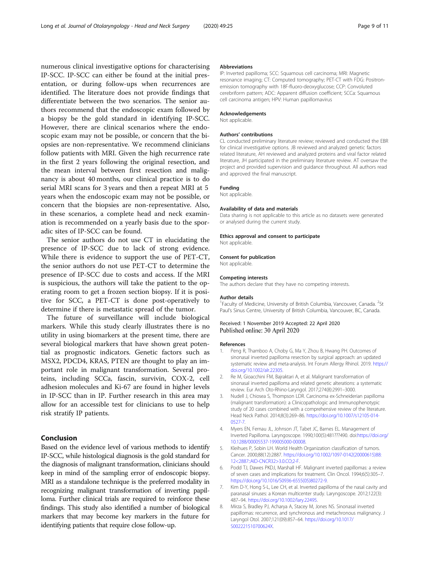<span id="page-8-0"></span>numerous clinical investigative options for characterising IP-SCC. IP-SCC can either be found at the initial presentation, or during follow-ups when recurrences are identified. The literature does not provide findings that differentiate between the two scenarios. The senior authors recommend that the endoscopic exam followed by a biopsy be the gold standard in identifying IP-SCC. However, there are clinical scenarios where the endoscopic exam may not be possible, or concern that the biopsies are non-representative. We recommend clinicians follow patients with MRI. Given the high recurrence rate in the first 2 years following the original resection, and the mean interval between first resection and malignancy is about 40 months, our clinical practice is to do serial MRI scans for 3 years and then a repeat MRI at 5 years when the endoscopic exam may not be possible, or concern that the biopsies are non-representative. Also, in these scenarios, a complete head and neck examination is recommended on a yearly basis due to the sporadic sites of IP-SCC can be found.

The senior authors do not use CT in elucidating the presence of IP-SCC due to lack of strong evidence. While there is evidence to support the use of PET-CT, the senior authors do not use PET-CT to determine the presence of IP-SCC due to costs and access. If the MRI is suspicious, the authors will take the patient to the operating room to get a frozen section biopsy. If it is positive for SCC, a PET-CT is done post-operatively to determine if there is metastatic spread of the tumor.

The future of surveillance will include biological markers. While this study clearly illustrates there is no utility in using biomarkers at the present time, there are several biological markers that have shown great potential as prognostic indicators. Genetic factors such as MSX2, PDCD4, KRAS, PTEN are thought to play an important role in malignant transformation. Several proteins, including SCCa, fascin, survivin, COX-2, cell adhesion molecules and Ki-67 are found in higher levels in IP-SCC than in IP. Further research in this area may allow for an accessible test for clinicians to use to help risk stratify IP patients.

#### Conclusion

Based on the evidence level of various methods to identify IP-SCC, while histological diagnosis is the gold standard for the diagnosis of malignant transformation, clinicians should keep in mind of the sampling error of endoscopic biopsy. MRI as a standalone technique is the preferred modality in recognizing malignant transformation of inverting papilloma. Further clinical trials are required to reinforce these findings. This study also identified a number of biological markers that may become key markers in the future for identifying patients that require close follow-up.

#### Abbreviations

IP: Inverted papilloma; SCC: Squamous cell carcinoma; MRI: Magnetic resonance imaging; CT: Computed tomography; PET-CT with FDG: Positronemission tomography with 18F-fluoro-deoxyglucose; CCP: Convoluted cerebriform pattern; ADC: Apparent diffusion coefficient; SCCa: Squamous cell carcinoma antigen; HPV: Human papillomavirus

#### Acknowledgements

Not applicable.

#### Authors' contributions

CL conducted preliminary literature review; reviewed and conducted the EBR for clinical investigative options. JB reviewed and analyzed genetic factors related literature, AH reviewed and analyzed proteins and viral factor related literature, JH participated in the preliminary literature review. AT oversaw the project and provided supervision and guidance throughout. All authors read and approved the final manuscript.

#### Funding

Not applicable.

#### Availability of data and materials

Data sharing is not applicable to this article as no datasets were generated or analysed during the current study.

#### Ethics approval and consent to participate

Not applicable.

#### Consent for publication

Not applicable.

#### Competing interests

The authors declare that they have no competing interests.

#### Author details

<sup>1</sup> Faculty of Medicine, University of British Columbia, Vancouver, Canada. <sup>2</sup>St Paul's Sinus Centre, University of British Columbia, Vancouver, BC, Canada.

#### Received: 1 November 2019 Accepted: 22 April 2020 Published online: 30 April 2020

#### References

- 1. Peng R, Thamboo A, Choby G, Ma Y, Zhou B, Hwang PH. Outcomes of sinonasal inverted papilloma resection by surgical approach: an updated systematic review and meta-analysis. Int Forum Allergy Rhinol. 2019. [https://](https://doi.org/10.1002/alr.22305) [doi.org/10.1002/alr.22305](https://doi.org/10.1002/alr.22305).
- 2. Re M, Gioacchini FM, Bajraktari A, et al. Malignant transformation of sinonasal inverted papilloma and related genetic alterations: a systematic review. Eur Arch Oto-Rhino-Laryngol. 2017;274(8):2991–3000.
- 3. Nudell J, Chiosea S, Thompson LDR. Carcinoma ex-Schneiderian papilloma (malignant transformation): a Clinicopathologic and Immunophenotypic study of 20 cases combined with a comprehensive review of the literature. Head Neck Pathol. 2014;8(3):269–86. [https://doi.org/10.1007/s12105-014-](https://doi.org/10.1007/s12105-014-0527-7) [0527-7.](https://doi.org/10.1007/s12105-014-0527-7)
- 4. Myers EN, Fernau JL, Johnson JT, Tabet JC, Barnes EL. Management of Inverted Papilloma. Laryngoscope. 1990;100(5):481???490. doi:[https://doi.org/](https://doi.org/10.1288/00005537-199005000-00008) [10.1288/00005537-199005000-00008](https://doi.org/10.1288/00005537-199005000-00008).
- 5. Kleihues P, Sobin LH. World Health Organization classification of tumors. Cancer. 2000;88(12):2887. [https://doi.org/10.1002/1097-0142\(20000615\)88:](https://doi.org/10.1002/1097-0142(20000615)88:12<2887::AID-CNCR32>3.0.CO;2-F) [12<2887::AID-CNCR32>3.0.CO;2-F](https://doi.org/10.1002/1097-0142(20000615)88:12<2887::AID-CNCR32>3.0.CO;2-F).
- Podd TJ, Dawes PKDJ, Marshall HF. Malignant inverted papillomas: a review of seven cases and implications for treatment. Clin Oncol. 1994;6(5):305–7. [https://doi.org/10.1016/S0936-6555\(05\)80272-9.](https://doi.org/10.1016/S0936-6555(05)80272-9)
- 7. Kim D-Y, Hong S-L, Lee CH, et al. Inverted papilloma of the nasal cavity and paranasal sinuses: a Korean multicenter study. Laryngoscope. 2012;122(3): 487–94. <https://doi.org/10.1002/lary.22495>.
- 8. Mirza S, Bradley PJ, Acharya A, Stacey M, Jones NS. Sinonasal inverted papillomas: recurrence, and synchronous and metachronous malignancy. J Laryngol Otol. 2007;121(09):857–64. [https://doi.org/10.1017/](https://doi.org/10.1017/S002221510700624X) [S002221510700624X](https://doi.org/10.1017/S002221510700624X).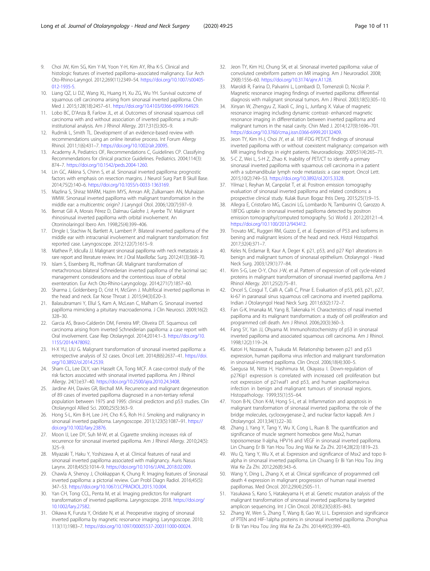- <span id="page-9-0"></span>9. Choi JW, Kim SG, Kim Y-M, Yoon Y-H, Kim AY, Rha K-S. Clinical and histologic features of inverted papilloma–associated malignancy. Eur Arch Oto-Rhino-Laryngol. 2012;269(11):2349–54. [https://doi.org/10.1007/s00405-](https://doi.org/10.1007/s00405-012-1935-5) [012-1935-5](https://doi.org/10.1007/s00405-012-1935-5).
- 10. Liang QZ, Li DZ, Wang XL, Huang H, Xu ZG, Wu YH. Survival outcome of squamous cell carcinoma arising from sinonasal inverted papilloma. Chin Med J. 2015;128(18):2457–61. [https://doi.org/10.4103/0366-6999.164929.](https://doi.org/10.4103/0366-6999.164929)
- 11. Lobo BC, D'Anza B, Farlow JL, et al. Outcomes of sinonasal squamous cell carcinoma with and without association of inverted papilloma: a multiinstitutional analysis. Am J Rhinol Allergy. 2017;31(5):305–9.
- 12. Rudmik L, Smith TL. Development of an evidence-based review with recommendations using an online iterative process. Int Forum Allergy Rhinol. 2011;1(6):431–7. <https://doi.org/10.1002/alr.20095>.
- 13. Academy A, Pediatrics OF, Recommendations C, Guidelines CP. Classifying Recommendations for clinical practice Guidelines. Pediatrics. 2004;114(3): 874–7. [https://doi.org/10.1542/peds.2004-1260.](https://doi.org/10.1542/peds.2004-1260)
- 14. Lin GC, Akkina S, Chinn S, et al. Sinonasal inverted papilloma: prognostic factors with emphasis on resection margins. J Neurol Surg Part B Skull Base. 2014;75(2):140–6. [https://doi.org/10.1055/s-0033-1363169.](https://doi.org/10.1055/s-0033-1363169)
- 15. Mazlina S, Shiraz MARM, Hazim MYS, Amran AR, Zulkarnaen AN, Muhaizan WMW. Sinonasal inverted papilloma with malignant transformation in the middle ear: a multicentric origin? J Laryngol Otol. 2006;120(7):597–9.
- 16. Bernat Gili A, Morais Pérez D, Dalmau Galofre J, Ayerbe TV. Malignant rhinosinusal inverted papilloma with orbital involvement. An Otorrinolaringol Ibero Am. 1998;25(4):399–406.
- 17. Dingle I, Stachiw N, Bartlett A, Lambert P. Bilateral inverted papilloma of the middle ear with intracranial involvement and malignant transformation: first reported case. Laryngoscope. 2012;122(7):1615–9.
- 18. Mathew P, Idiculla JJ. Malignant sinonasal papilloma with neck metastasis: a rare report and literature review. Int J Oral Maxillofac Surg. 2012;41(3):368–70.
- 19. Islam S, Eisenberg RL, Hoffman GR. Malignant transformation of metachronous bilateral Schneiderian inverted papilloma of the lacrimal sac: management considerations and the contentious issue of orbital exenteration. Eur Arch Oto-Rhino-Laryngology. 2014;271(7):1857–60.
- 20. Sharma J, Goldenberg D, Crist H, McGinn J. Multifocal inverted papillomas in the head and neck. Ear Nose Throat J. 2015;94(3):E20–3.
- 21. Balasubramani Y, Ellul S, Kam A, McLean C, Malham G. Sinonasal inverted papilloma mimicking a pituitary macroadenoma. J Clin Neurosci. 2009;16(2): 328–30.
- 22. Garcia AS, Bravo-Calderón DM, Ferreira MP, Oliveira DT. Squamous cell carcinoma arising from inverted Schneiderian papilloma: a case report with Oral involvement. Case Rep Otolaryngol. 2014;2014:1–3. [https://doi.org/10.](https://doi.org/10.1155/2014/478092) [1155/2014/478092](https://doi.org/10.1155/2014/478092).
- 23. H-X YU, LIU G. Malignant transformation of sinonasal inverted papilloma: a retrospective analysis of 32 cases. Oncol Lett. 2014;8(6):2637–41. [https://doi.](https://doi.org/10.3892/ol.2014.2539) [org/10.3892/ol.2014.2539.](https://doi.org/10.3892/ol.2014.2539)
- 24. Sham CL, Lee DLY, van Hasselt CA, Tong MCF. A case-control study of the risk factors associated with sinonasal inverted papilloma. Am J Rhinol Allergy. 24(1):e37–40. [https://doi.org/10.2500/ajra.2010.24.3408.](https://doi.org/10.2500/ajra.2010.24.3408)
- 25. Jardine AH, Davies GR, Birchall MA. Recurrence and malignant degeneration of 89 cases of inverted papilloma diagnosed in a non-tertiary referral population between 1975 and 1995: clinical predictors and p53 studies. Clin Otolaryngol Allied Sci. 2000;25(5):363–9.
- 26. Hong S-L, Kim B-H, Lee J-H, Cho K-S, Roh H-J. Smoking and malignancy in sinonasal inverted papilloma. Laryngoscope. 2013;123(5):1087–91. [https://](https://doi.org/10.1002/lary.23876) [doi.org/10.1002/lary.23876](https://doi.org/10.1002/lary.23876).
- 27. Moon IJ, Lee DY, Suh M-W, et al. Cigarette smoking increases risk of recurrence for sinonasal inverted papilloma. Am J Rhinol Allergy. 2010;24(5): 325–9.
- 28. Miyazaki T, Haku Y, Yoshizawa A, et al. Clinical features of nasal and sinonasal inverted papilloma associated with malignancy. Auris Nasus Larynx. 2018;45(5):1014–9. <https://doi.org/10.1016/J.ANL.2018.02.009>.
- 29. Chawla A, Shenoy J, Chokkappan K, Chung R. Imaging features of Sinonasal inverted papilloma: a pictorial review. Curr Probl Diagn Radiol. 2016;45(5): 347–53. <https://doi.org/10.1067/J.CPRADIOL.2015.10.004>.
- 30. Yan CH, Tong CCL, Penta M, et al. Imaging predictors for malignant transformation of inverted papilloma. Laryngoscope. 2018. [https://doi.org/](https://doi.org/10.1002/lary.27582) [10.1002/lary.27582.](https://doi.org/10.1002/lary.27582)
- 31. Oikawa K, Furuta Y, Oridate N, et al. Preoperative staging of sinonasal inverted papilloma by magnetic resonance imaging. Laryngoscope. 2010; 113(11):1983–7. <https://doi.org/10.1097/00005537-200311000-00024>.
- 32. Jeon TY, Kim HJ, Chung SK, et al. Sinonasal inverted papilloma: value of convoluted cerebriform pattern on MR imaging. Am J Neuroradiol. 2008; 29(8):1556–60. [https://doi.org/10.3174/ajnr.A1128.](https://doi.org/10.3174/ajnr.A1128)
- 33. Maroldi R, Farina D, Palvarini L, Lombardi D, Tomenzoli D, Nicolai P. Magnetic resonance imaging findings of inverted papilloma: differential diagnosis with malignant sinonasal tumors. Am J Rhinol. 2003;18(5):305–10.
- 34. Xinyan W, Zhengyu Z, Xiaoli C, Jing L, Junfang X. Value of magnetic resonance imaging including dynamic contrast- enhanced magnetic resonance imaging in differentiation between inverted papilloma and malignant tumors in the nasal cavity. Chin Med J. 2014;127(9):1696–701. <https://doi.org/10.3760/cma.j.issn.0366-6999.20132409>.
- 35. Jeon TY, Kim H-J, Choi JY, et al. 18F-FDG PET/CT findings of sinonasal inverted papilloma with or without coexistent malignancy: comparison with MR imaging findings in eight patients. Neuroradiology. 2009;51(4):265–71.
- 36. S-C Z, Wei L, S-H Z, Zhao K. Inability of PET/CT to identify a primary sinonasal inverted papilloma with squamous cell carcinoma in a patient with a submandibular lymph node metastasis: a case report. Oncol Lett. 2015;10(2):749–53. [https://doi.org/10.3892/ol.2015.3328.](https://doi.org/10.3892/ol.2015.3328)
- 37. Yilmaz I, Reyhan M, Canpolat T, et al. Positron emission tomography evaluation of sinonasal inverted papilloma and related conditions: a prospective clinical study. Kulak Burun Bogaz Ihtis Derg. 2015;25(1):9–15.
- 38. Allegra E, Cristofaro MG, Cascini LG, Lombardo N, Tamburrini O, Garozzo A. 18FDG uptake in sinonasal inverted papilloma detected by positron emission tomography/computed tomography. Sci World J. 2012;2012:1–4. <https://doi.org/10.1100/2012/943412>.
- 39. Trovato MC, Ruggeri RM, Guzzo E, et al. Expression of P53 and isoforms in bening and malignant lesions of the head and neck. Histol Histopathol. 2017;32(4):371–7.
- Keles N, Erdamar B, Kaur A, Deger K. p21, p53, and p27 Kip1 alterations in benign and malignant tumors of sinonasal epithelium. Otolaryngol - Head Neck Surg. 2003;129(1):77–84.
- 41. Kim S-G, Lee O-Y, Choi J-W, et al. Pattern of expression of cell cycle-related proteins in malignant transformation of sinonasal inverted papilloma. Am J Rhinol Allergy. 2011;25(2):75–81.
- 42. Oncel S, Cosgul T, Calli A, Calli C, Pinar E. Evaluation of p53, p63, p21, p27, ki-67 in paranasal sinus squamous cell carcinoma and inverted papilloma. Indian J Otolaryngol Head Neck Surg. 2011;63(2):172–7.
- 43. Fan G-K, Imanaka M, Yang B, Takenaka H. Characteristics of nasal inverted papilloma and its malignant transformation: a study of cell proliferation and programmed cell death. Am J Rhinol. 2006;20(3):360–3.
- 44. Fang SY, Yan JJ, Ohyama M. Immunohistochemistry of p53 in sinonasal inverted papilloma and associated squamous cell carcinoma. Am J Rhinol. 1998;12(2):119–24.
- 45. Katori H, Nozawat A, Tsukuda M. Relationship between p21 and p53 expression, human papilloma virus infection and malignant transformation in sinonasal-inverted papilloma. Clin Oncol. 2006;18(4):300–5.
- 46. Saegusa M, Nitta H, Hashimura M, Okayasu I. Down-regulation of p27Kip1 expression is correlated with increased cell proliferation but not expression of p21waf1 and p53, and human papillomavirus infection in benign and malignant tumours of sinonasal regions. Histopathology. 1999;35(1):55–64.
- 47. Yoon B-N, Chon K-M, Hong S-L, et al. Inflammation and apoptosis in malignant transformation of sinonasal inverted papilloma: the role of the bridge molecules, cyclooxygenase-2, and nuclear factor kappaB. Am J Otolaryngol. 2013;34(1):22–30.
- 48. Zhang J, Yang Y, Tang Y, Wu X, Cong L, Ruan B. The quantification and significance of muscle segment homeobox gene Msx2, human topoisomerase II-alpha, HPV16 and VEGF in sinonasal inverted papilloma. Lin Chuang Er Bi Yan Hou Tou Jing Wai Ke Za Zhi. 2014;28(23):1819–23.
- 49. Wu Q, Yang Y, Wu X, et al. Expression and significance of Msx2 and topo IIalpha in sinonasal inverted papilloma. Lin Chuang Er Bi Yan Hou Tou Jing Wai Ke Za Zhi. 2012;26(8):343–6.
- 50. Wang Y, Ding L, Zhang X, et al. Clinical significance of programmed cell death 4 expression in malignant progression of human nasal inverted papillomas. Med Oncol. 2012;29(4):2505–11.
- 51. Yasukawa S, Kano S, Hatakeyama H, et al. Genetic mutation analysis of the malignant transformation of sinonasal inverted papilloma by targeted amplicon sequencing. Int J Clin Oncol. 2018;23(5):835–843.
- 52. Zhang W, Wen S, Zhang T, Wang B, Gao W, Li L. Expression and significance of PTEN and HIF-1alpha proteins in sinonasal inverted papilloma. Zhonghua Er Bi Yan Hou Tou Jing Wai Ke Za Zhi. 2014;49(5):399–403.